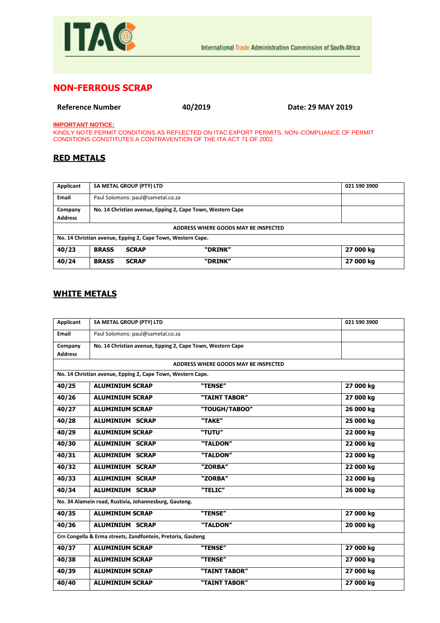

## **NON-FERROUS SCRAP**

**Reference Number 40/2019 Date: 29 MAY 2019**

**IMPORTANT NOTICE:**

KINDLY NOTE PERMIT CONDITIONS AS REFLECTED ON ITAC EXPORT PERMITS. NON–COMPLIANCE OF PERMIT CONDITIONS CONSTITUTES A CONTRAVENTION OF THE ITA ACT 71 OF 2002.

## **RED METALS**

| Applicant                                                   |                                                            | SA METAL GROUP (PTY) LTD |         | 021 590 3900 |
|-------------------------------------------------------------|------------------------------------------------------------|--------------------------|---------|--------------|
| Email                                                       | Paul Solomons: paul@sametal.co.za                          |                          |         |              |
| Company                                                     | No. 14 Christian avenue, Epping 2, Cape Town, Western Cape |                          |         |              |
| <b>Address</b>                                              |                                                            |                          |         |              |
| ADDRESS WHERE GOODS MAY BE INSPECTED                        |                                                            |                          |         |              |
| No. 14 Christian avenue, Epping 2, Cape Town, Western Cape. |                                                            |                          |         |              |
| 40/23                                                       | <b>BRASS</b>                                               | <b>SCRAP</b>             | "DRINK" | 27 000 kg    |
| 40/24                                                       | <b>BRASS</b>                                               | <b>SCRAP</b>             | "DRINK" | 27 000 kg    |

## **WHITE METALS**

| Applicant                                                   | SA METAL GROUP (PTY) LTD                                    |                                             | 021 590 3900 |
|-------------------------------------------------------------|-------------------------------------------------------------|---------------------------------------------|--------------|
| Email                                                       | Paul Solomons: paul@sametal.co.za                           |                                             |              |
| Company                                                     | No. 14 Christian avenue, Epping 2, Cape Town, Western Cape  |                                             |              |
| <b>Address</b>                                              |                                                             |                                             |              |
|                                                             |                                                             | <b>ADDRESS WHERE GOODS MAY BE INSPECTED</b> |              |
|                                                             | No. 14 Christian avenue, Epping 2, Cape Town, Western Cape. |                                             |              |
| 40/25                                                       | <b>ALUMINIUM SCRAP</b>                                      | "TENSE"                                     | 27 000 kg    |
| 40/26                                                       | <b>ALUMINIUM SCRAP</b>                                      | "TAINT TABOR"                               | 27 000 kg    |
| 40/27                                                       | <b>ALUMINIUM SCRAP</b>                                      | "TOUGH/TABOO"                               | 26 000 kg    |
| 40/28                                                       | <b>ALUMINIUM SCRAP</b>                                      | "TAKE"                                      | 25 000 kg    |
| 40/29                                                       | <b>ALUMINIUM SCRAP</b>                                      | "TUTU"                                      | 22 000 kg    |
| 40/30                                                       | <b>ALUMINIUM SCRAP</b>                                      | "TALDON"                                    | 22 000 kg    |
| 40/31                                                       | <b>ALUMINIUM SCRAP</b>                                      | "TALDON"                                    | 22 000 kg    |
| 40/32                                                       | <b>ALUMINIUM SCRAP</b>                                      | "ZORBA"                                     | 22 000 kg    |
| 40/33                                                       | <b>ALUMINIUM SCRAP</b>                                      | "ZORBA"                                     | 22 000 kg    |
| 40/34                                                       | <b>ALUMINIUM SCRAP</b>                                      | "TELIC"                                     | 26 000 kg    |
| No. 34 Alamein road, Rustivia, Johannesburg, Gauteng.       |                                                             |                                             |              |
| 40/35                                                       | <b>ALUMINIUM SCRAP</b>                                      | "TENSE"                                     | 27 000 kg    |
| 40/36                                                       | <b>ALUMINIUM SCRAP</b>                                      | "TALDON"                                    | 20 000 kg    |
| Crn Congella & Erma streets, Zandfontein, Pretoria, Gauteng |                                                             |                                             |              |
| 40/37                                                       | <b>ALUMINIUM SCRAP</b>                                      | "TENSE"                                     | 27 000 kg    |
| 40/38                                                       | <b>ALUMINIUM SCRAP</b>                                      | "TENSE"                                     | 27 000 kg    |
| 40/39                                                       | <b>ALUMINIUM SCRAP</b>                                      | "TAINT TABOR"                               | 27 000 kg    |
| 40/40                                                       | <b>ALUMINIUM SCRAP</b>                                      | "TAINT TABOR"                               | 27 000 kg    |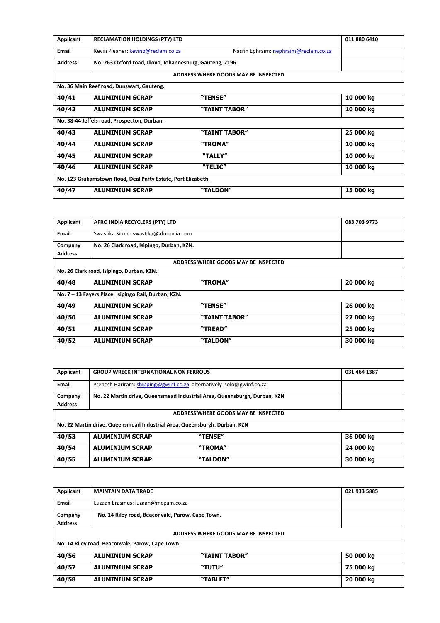| Applicant                                                    | <b>RECLAMATION HOLDINGS (PTY) LTD</b>                    |                                       | 011 880 6410 |  |  |
|--------------------------------------------------------------|----------------------------------------------------------|---------------------------------------|--------------|--|--|
| Email                                                        | Kevin Pleaner: kevinp@reclam.co.za                       | Nasrin Ephraim: nephraim@reclam.co.za |              |  |  |
| <b>Address</b>                                               | No. 263 Oxford road, Illovo, Johannesburg, Gauteng, 2196 |                                       |              |  |  |
|                                                              |                                                          | ADDRESS WHERE GOODS MAY BE INSPECTED  |              |  |  |
|                                                              | No. 36 Main Reef road, Dunswart, Gauteng.                |                                       |              |  |  |
| 40/41                                                        | <b>ALUMINIUM SCRAP</b>                                   | "TENSE"                               | 10 000 kg    |  |  |
| 40/42                                                        | <b>ALUMINIUM SCRAP</b>                                   | "TAINT TABOR"                         | 10 000 kg    |  |  |
|                                                              | No. 38-44 Jeffels road, Prospecton, Durban.              |                                       |              |  |  |
| 40/43                                                        | <b>ALUMINIUM SCRAP</b>                                   | "TAINT TABOR"                         | 25 000 kg    |  |  |
| 40/44                                                        | <b>ALUMINIUM SCRAP</b>                                   | "TROMA"                               | 10 000 kg    |  |  |
| 40/45                                                        | <b>ALUMINIUM SCRAP</b>                                   | "TALLY"                               | 10 000 kg    |  |  |
| 40/46                                                        | <b>ALUMINIUM SCRAP</b>                                   | "TELIC"                               | 10 000 kg    |  |  |
| No. 123 Grahamstown Road, Deal Party Estate, Port Elizabeth. |                                                          |                                       |              |  |  |
| 40/47                                                        | <b>ALUMINIUM SCRAP</b>                                   | "TALDON"                              | 15 000 kg    |  |  |

| Applicant                                            | AFRO INDIA RECYCLERS (PTY) LTD            |                                      | 083 703 9773 |
|------------------------------------------------------|-------------------------------------------|--------------------------------------|--------------|
| <b>Email</b>                                         | Swastika Sirohi: swastika@afroindia.com   |                                      |              |
| Company                                              | No. 26 Clark road, Isipingo, Durban, KZN. |                                      |              |
| <b>Address</b>                                       |                                           |                                      |              |
|                                                      |                                           | ADDRESS WHERE GOODS MAY BE INSPECTED |              |
|                                                      | No. 26 Clark road, Isipingo, Durban, KZN. |                                      |              |
| 40/48                                                | <b>ALUMINIUM SCRAP</b>                    | "TROMA"                              | 20 000 kg    |
| No. 7 - 13 Fayers Place, Isipingo Rail, Durban, KZN. |                                           |                                      |              |
| 40/49                                                | <b>ALUMINIUM SCRAP</b>                    | "TENSE"                              | 26 000 kg    |
| 40/50                                                | <b>ALUMINIUM SCRAP</b>                    | "TAINT TABOR"                        | 27 000 kg    |
| 40/51                                                | <b>ALUMINIUM SCRAP</b>                    | "TREAD"                              | 25 000 kg    |
| 40/52                                                | <b>ALUMINIUM SCRAP</b>                    | "TALDON"                             | 30 000 kg    |

| Applicant                                                                 | <b>GROUP WRECK INTERNATIONAL NON FERROUS</b>                              | 031 464 1387 |  |  |
|---------------------------------------------------------------------------|---------------------------------------------------------------------------|--------------|--|--|
| Email                                                                     | Prenesh Hariram: shipping@gwinf.co.za alternatively solo@gwinf.co.za      |              |  |  |
| Company<br><b>Address</b>                                                 | No. 22 Martin drive, Queensmead Industrial Area, Queensburgh, Durban, KZN |              |  |  |
|                                                                           | ADDRESS WHERE GOODS MAY BE INSPECTED                                      |              |  |  |
| No. 22 Martin drive, Queensmead Industrial Area, Queensburgh, Durban, KZN |                                                                           |              |  |  |
| 40/53                                                                     | <b>ALUMINIUM SCRAP</b><br>"TENSE"                                         | 36 000 kg    |  |  |
| 40/54                                                                     | "TROMA"<br><b>ALUMINIUM SCRAP</b>                                         | 24 000 kg    |  |  |
| 40/55                                                                     | "TALDON"<br><b>ALUMINIUM SCRAP</b>                                        | 30 000 kg    |  |  |

| Applicant                                        | <b>MAINTAIN DATA TRADE</b>                       |               | 021 933 5885 |  |
|--------------------------------------------------|--------------------------------------------------|---------------|--------------|--|
| <b>Email</b>                                     | Luzaan Erasmus: luzaan@megam.co.za               |               |              |  |
| Company                                          | No. 14 Riley road, Beaconvale, Parow, Cape Town. |               |              |  |
| <b>Address</b>                                   |                                                  |               |              |  |
| ADDRESS WHERE GOODS MAY BE INSPECTED             |                                                  |               |              |  |
| No. 14 Riley road, Beaconvale, Parow, Cape Town. |                                                  |               |              |  |
| 40/56                                            | <b>ALUMINIUM SCRAP</b>                           | "TAINT TABOR" | 50 000 kg    |  |
| 40/57                                            | <b>ALUMINIUM SCRAP</b>                           | "TUTU"        | 75 000 kg    |  |
| 40/58                                            | <b>ALUMINIUM SCRAP</b>                           | "TABLET"      | 20 000 kg    |  |